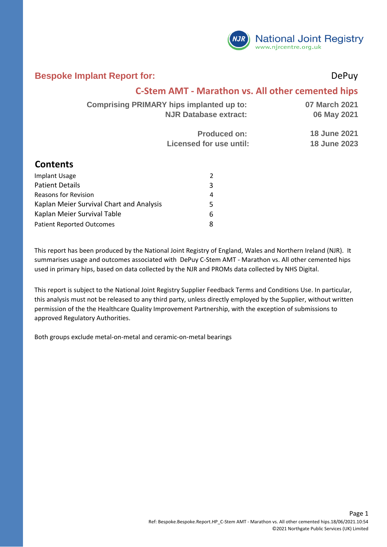

#### **Bespoke Implant Report for:** DePuy

#### **C-Stem AMT - Marathon vs. All other cemented hips**

| Comprising PRIMARY hips implanted up to: | 07 March 2021       |
|------------------------------------------|---------------------|
| <b>NJR Database extract:</b>             | 06 May 2021         |
| <b>Produced on:</b>                      | <b>18 June 2021</b> |
| Licensed for use until:                  | <b>18 June 2023</b> |

#### **Contents**

| <b>Implant Usage</b>                     |   |
|------------------------------------------|---|
| <b>Patient Details</b>                   | 3 |
| <b>Reasons for Revision</b>              | 4 |
| Kaplan Meier Survival Chart and Analysis | 5 |
| Kaplan Meier Survival Table              | 6 |
| <b>Patient Reported Outcomes</b>         | я |

This report has been produced by the National Joint Registry of England, Wales and Northern Ireland (NJR). It summarises usage and outcomes associated with DePuy C-Stem AMT - Marathon vs. All other cemented hips used in primary hips, based on data collected by the NJR and PROMs data collected by NHS Digital.

This report is subject to the National Joint Registry Supplier Feedback Terms and Conditions Use. In particular, this analysis must not be released to any third party, unless directly employed by the Supplier, without written permission of the the Healthcare Quality Improvement Partnership, with the exception of submissions to approved Regulatory Authorities.

Both groups exclude metal-on-metal and ceramic-on-metal bearings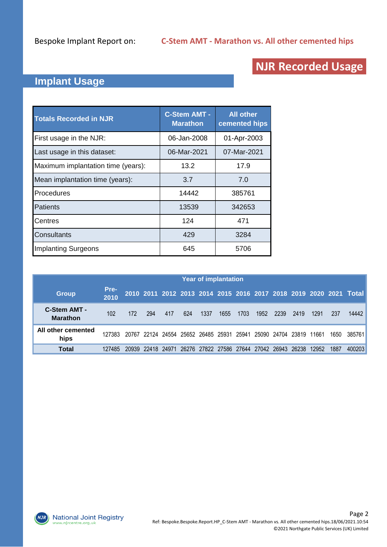# **NJR Recorded Usage**

## **Implant Usage**

| <b>Totals Recorded in NJR</b>      | <b>C-Stem AMT -</b><br><b>Marathon</b> | <b>All other</b><br>cemented hips |
|------------------------------------|----------------------------------------|-----------------------------------|
| First usage in the NJR:            | 06-Jan-2008                            | 01-Apr-2003                       |
| Last usage in this dataset:        | 06-Mar-2021                            | 07-Mar-2021                       |
| Maximum implantation time (years): | 13.2                                   | 17.9                              |
| Mean implantation time (years):    | 3.7                                    | 7.0                               |
| Procedures                         | 14442                                  | 385761                            |
| Patients                           | 13539                                  | 342653                            |
| <b>Centres</b>                     | 124                                    | 471                               |
| <b>Consultants</b>                 | 429                                    | 3284                              |
| <b>Implanting Surgeons</b>         | 645                                    | 5706                              |

|                                 |              |       |       |         |     |      | <b>Year of implantation</b>                           |      |      |      |      |       |      |                                                                   |
|---------------------------------|--------------|-------|-------|---------|-----|------|-------------------------------------------------------|------|------|------|------|-------|------|-------------------------------------------------------------------|
| <b>Group</b>                    | Pre-<br>2010 |       |       |         |     |      |                                                       |      |      |      |      |       |      | 2010 2011 2012 2013 2014 2015 2016 2017 2018 2019 2020 2021 Total |
| C-Stem AMT -<br><b>Marathon</b> | 102          | 172   | 294   | 417     | 624 | 1337 | 1655                                                  | 1703 | 1952 | 2239 | 2419 | 1291  | 237  | 14442                                                             |
| All other cemented<br>hips      | 127383       | 20767 |       |         |     |      | 22124 24554 25652 26485 25931 25941 25090 24704 23819 |      |      |      |      | 11661 | 1650 | -385761                                                           |
| Total                           | 127485       | 20939 | 22418 | - 24971 |     |      | 26276 27822 27586 27644 27042 26943 26238             |      |      |      |      | 12952 | 1887 | 400203                                                            |

**NJR**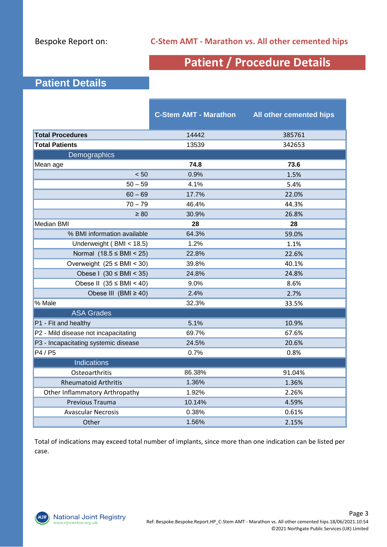# **Patient / Procedure Details**

## **Patient Details**

|                                      | <b>C-Stem AMT - Marathon</b> | <b>All other cemented hips</b> |
|--------------------------------------|------------------------------|--------------------------------|
| <b>Total Procedures</b>              | 14442                        | 385761                         |
| <b>Total Patients</b>                | 13539                        | 342653                         |
| Demographics                         |                              |                                |
| Mean age                             | 74.8                         | 73.6                           |
| < 50                                 | 0.9%                         | 1.5%                           |
| $50 - 59$                            | 4.1%                         | 5.4%                           |
| $60 - 69$                            | 17.7%                        | 22.0%                          |
| $70 - 79$                            | 46.4%                        | 44.3%                          |
| $\geq 80$                            | 30.9%                        | 26.8%                          |
| <b>Median BMI</b>                    | 28                           | 28                             |
| % BMI information available          | 64.3%                        | 59.0%                          |
| Underweight (BMI < 18.5)             | 1.2%                         | 1.1%                           |
| Normal $(18.5 \leq BMI < 25)$        | 22.8%                        | 22.6%                          |
| Overweight $(25 \leq BMI \leq 30)$   | 39.8%                        | 40.1%                          |
| Obese I $(30 \leq BMI \leq 35)$      | 24.8%                        | 24.8%                          |
| Obese II $(35 \leq BMI \leq 40)$     | 9.0%                         | 8.6%                           |
| Obese III $(BMI \ge 40)$             | 2.4%                         | 2.7%                           |
| % Male                               | 32.3%                        | 33.5%                          |
| <b>ASA Grades</b>                    |                              |                                |
| P1 - Fit and healthy                 | 5.1%                         | 10.9%                          |
| P2 - Mild disease not incapacitating | 69.7%                        | 67.6%                          |
| P3 - Incapacitating systemic disease | 24.5%                        | 20.6%                          |
| P4 / P5                              | 0.7%                         | 0.8%                           |
| <b>Indications</b>                   |                              |                                |
| Osteoarthritis                       | 86.38%                       | 91.04%                         |
| <b>Rheumatoid Arthritis</b>          | 1.36%                        | 1.36%                          |
| Other Inflammatory Arthropathy       | 1.92%                        | 2.26%                          |
| Previous Trauma                      | 10.14%                       | 4.59%                          |
| <b>Avascular Necrosis</b>            | 0.38%                        | 0.61%                          |
| Other                                | 1.56%                        | 2.15%                          |

Total of indications may exceed total number of implants, since more than one indication can be listed per case.

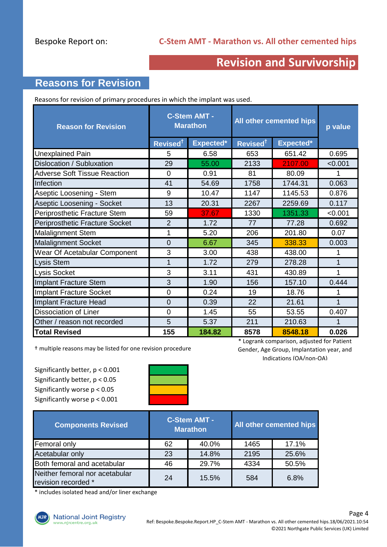## **Revision and Survivorship**

## **Reasons for Revision**

Reasons for revision of primary procedures in which the implant was used.

| <b>Reason for Revision</b>          |                      | <b>C-Stem AMT -</b><br><b>Marathon</b> | All other cemented hips |           | p value |
|-------------------------------------|----------------------|----------------------------------------|-------------------------|-----------|---------|
|                                     | Revised <sup>†</sup> | Expected*                              | Revised <sup>t</sup>    | Expected* |         |
| Unexplained Pain                    | 5                    | 6.58                                   | 653                     | 651.42    | 0.695   |
| Dislocation / Subluxation           | 29                   | 55.00                                  | 2133                    | 2107.00   | < 0.001 |
| <b>Adverse Soft Tissue Reaction</b> | $\overline{0}$       | 0.91                                   | 81                      | 80.09     | 1       |
| Infection                           | 41                   | 54.69                                  | 1758                    | 1744.31   | 0.063   |
| Aseptic Loosening - Stem            | 9                    | 10.47                                  | 1147                    | 1145.53   | 0.876   |
| Aseptic Loosening - Socket          | 13                   | 20.31                                  | 2267                    | 2259.69   | 0.117   |
| Periprosthetic Fracture Stem        | 59                   | 37.67                                  | 1330                    | 1351.33   | < 0.001 |
| Periprosthetic Fracture Socket      | $\overline{2}$       | 1.72                                   | 77                      | 77.28     | 0.692   |
| <b>Malalignment Stem</b>            | 1                    | 5.20                                   | 206                     | 201.80    | 0.07    |
| <b>Malalignment Socket</b>          | $\Omega$             | 6.67                                   | 345                     | 338.33    | 0.003   |
| Wear Of Acetabular Component        | 3                    | 3.00                                   | 438                     | 438.00    | 1       |
| <b>Lysis Stem</b>                   | 1                    | 1.72                                   | 279                     | 278.28    | 1       |
| Lysis Socket                        | 3                    | 3.11                                   | 431                     | 430.89    | 1       |
| Implant Fracture Stem               | 3                    | 1.90                                   | 156                     | 157.10    | 0.444   |
| <b>Implant Fracture Socket</b>      | $\Omega$             | 0.24                                   | 19                      | 18.76     | 1       |
| Implant Fracture Head               | $\overline{0}$       | 0.39                                   | 22                      | 21.61     |         |
| <b>Dissociation of Liner</b>        | $\overline{0}$       | 1.45                                   | 55                      | 53.55     | 0.407   |
| Other / reason not recorded         | 5                    | 5.37                                   | 211                     | 210.63    | 1       |
| <b>Total Revised</b>                | 155                  | 184.82                                 | 8578                    | 8548.18   | 0.026   |

† multiple reasons may be listed for one revision procedure

Significantly better, p < 0.001 Significantly better, p < 0.05 Significantly worse p < 0.05 Significantly worse p < 0.001



\* Logrank comparison, adjusted for Patient Gender, Age Group, Implantation year, and Indications (OA/non-OA)

| <b>Components Revised</b>                             |    | <b>C-Stem AMT -</b><br><b>Marathon</b> |      | All other cemented hips |
|-------------------------------------------------------|----|----------------------------------------|------|-------------------------|
| Femoral only                                          | 62 | 40.0%                                  | 1465 | 17.1%                   |
| Acetabular only                                       | 23 | 14.8%                                  | 2195 | 25.6%                   |
| Both femoral and acetabular                           | 46 | 29.7%                                  | 4334 | 50.5%                   |
| Neither femoral nor acetabular<br>revision recorded * | 24 | 15.5%                                  | 584  | 6.8%                    |

\* includes isolated head and/or liner exchange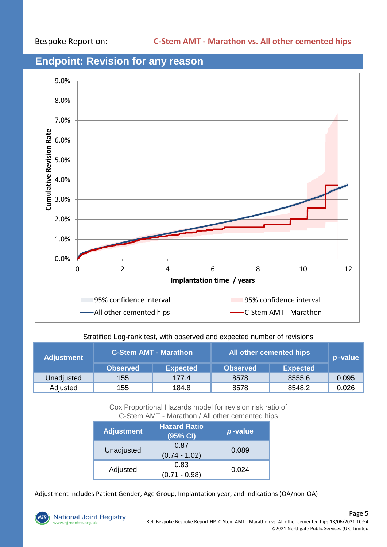# 9.0% 8.0% 7.0% Cumulative Revision Rate **Cumulative Revision Rate** 6.0% 5.0% 4.0% 3.0% 2.0% 1.0% 0.0% 0 2 4 6 8 10 12 **Implantation time / years** 95% confidence interval 95% confidence interval -All other cemented hips C-Stem AMT - Marathon

### **Endpoint: Revision for any reason**

#### Stratified Log-rank test, with observed and expected number of revisions

| <b>Adjustment</b> | <b>C-Stem AMT - Marathon</b> |                 | All other cemented hips | $p$ -value      |       |  |
|-------------------|------------------------------|-----------------|-------------------------|-----------------|-------|--|
|                   | <b>Observed</b>              | <b>Expected</b> | <b>Observed</b>         | <b>Expected</b> |       |  |
| Unadjusted        | 155                          | 177.4           | 8578                    | 8555.6          | 0.095 |  |
| Adjusted          | 155                          | 184.8           | 8578                    | 8548.2          | 0.026 |  |

Cox Proportional Hazards model for revision risk ratio of C-Stem AMT - Marathon / All other cemented hips

| <b>Adjustment</b> | <b>Hazard Ratio</b><br>(95% CI) | p-value |
|-------------------|---------------------------------|---------|
| Unadjusted        | 0.87<br>$(0.74 - 1.02)$         | 0.089   |
| Adjusted          | 0.83<br>$(0.71 - 0.98)$         | 0.024   |

Adjustment includes Patient Gender, Age Group, Implantation year, and Indications (OA/non-OA)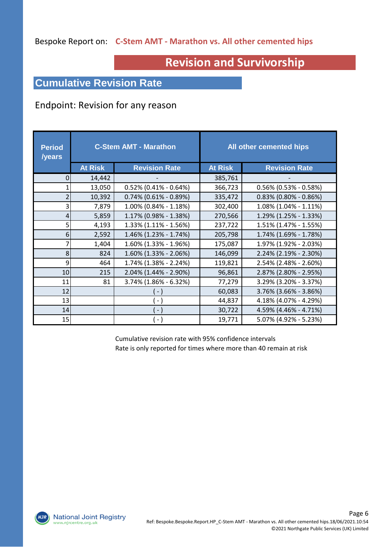### Bespoke Report on: **C-Stem AMT - Marathon vs. All other cemented hips**

# **Revision and Survivorship**

### **Cumulative Revision Rate**

#### Endpoint: Revision for any reason

| <b>Period</b><br>/years | <b>C-Stem AMT - Marathon</b> |                          |                | All other cemented hips  |
|-------------------------|------------------------------|--------------------------|----------------|--------------------------|
|                         | <b>At Risk</b>               | <b>Revision Rate</b>     | <b>At Risk</b> | <b>Revision Rate</b>     |
| 0                       | 14,442                       |                          | 385,761        |                          |
| 1                       | 13,050                       | $0.52\%$ (0.41% - 0.64%) | 366,723        | $0.56\%$ (0.53% - 0.58%) |
| 2                       | 10,392                       | $0.74\%$ (0.61% - 0.89%) | 335,472        | $0.83\%$ (0.80% - 0.86%) |
| 3                       | 7,879                        | 1.00% (0.84% - 1.18%)    | 302,400        | $1.08\%$ (1.04% - 1.11%) |
| 4                       | 5,859                        | 1.17% (0.98% - 1.38%)    | 270,566        | 1.29% (1.25% - 1.33%)    |
| 5                       | 4,193                        | 1.33% (1.11% - 1.56%)    | 237,722        | 1.51% (1.47% - 1.55%)    |
| 6                       | 2,592                        | 1.46% (1.23% - 1.74%)    | 205,798        | 1.74% (1.69% - 1.78%)    |
| 7                       | 1,404                        | 1.60% (1.33% - 1.96%)    | 175,087        | 1.97% (1.92% - 2.03%)    |
| 8                       | 824                          | $1.60\%$ (1.33% - 2.06%) | 146,099        | 2.24% (2.19% - 2.30%)    |
| 9                       | 464                          | 1.74% (1.38% - 2.24%)    | 119,821        | 2.54% (2.48% - 2.60%)    |
| 10                      | 215                          | 2.04% (1.44% - 2.90%)    | 96,861         | 2.87% (2.80% - 2.95%)    |
| 11                      | 81                           | 3.74% (1.86% - 6.32%)    | 77,279         | 3.29% (3.20% - 3.37%)    |
| 12                      |                              | $(-)$                    | 60,083         | 3.76% (3.66% - 3.86%)    |
| 13                      |                              | $\overline{\phantom{a}}$ | 44,837         | 4.18% (4.07% - 4.29%)    |
| 14                      |                              | $\overline{\phantom{a}}$ | 30,722         | 4.59% (4.46% - 4.71%)    |
| 15                      |                              | $\sim$                   | 19,771         | 5.07% (4.92% - 5.23%)    |

Cumulative revision rate with 95% confidence intervals Rate is only reported for times where more than 40 remain at risk

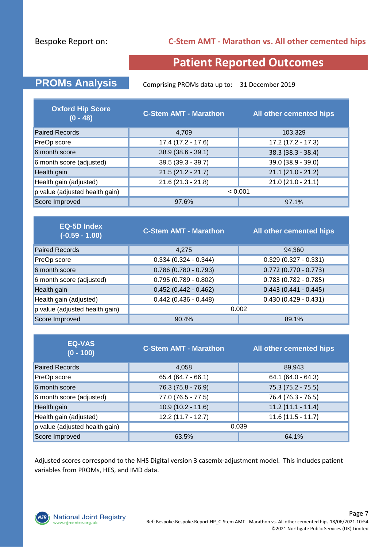#### Bespoke Report on:

#### **C-Stem AMT - Marathon vs. All other cemented hips**

## **Patient Reported Outcomes**

**PROMs Analysis** Comprising PROMs data up to: 31 December 2019

| <b>Oxford Hip Score</b><br>$(0 - 48)$ | <b>C-Stem AMT - Marathon</b> | All other cemented hips |  |  |
|---------------------------------------|------------------------------|-------------------------|--|--|
| <b>Paired Records</b>                 | 4,709                        | 103,329                 |  |  |
| PreOp score                           | $17.4(17.2 - 17.6)$          | $17.2(17.2 - 17.3)$     |  |  |
| 6 month score                         | $38.9(38.6 - 39.1)$          | $38.3 (38.3 - 38.4)$    |  |  |
| 6 month score (adjusted)              | $39.5(39.3 - 39.7)$          | 39.0 (38.9 - 39.0)      |  |  |
| Health gain                           | $21.5(21.2 - 21.7)$          | $21.1(21.0 - 21.2)$     |  |  |
| Health gain (adjusted)                | $21.6(21.3 - 21.8)$          | $21.0(21.0 - 21.1)$     |  |  |
| p value (adjusted health gain)        | < 0.001                      |                         |  |  |
| Score Improved                        | 97.6%                        | 97.1%                   |  |  |

| <b>EQ-5D Index</b><br>$(-0.59 - 1.00)$ | <b>C-Stem AMT - Marathon</b> | All other cemented hips |  |  |
|----------------------------------------|------------------------------|-------------------------|--|--|
| <b>Paired Records</b>                  | 4.275                        | 94,360                  |  |  |
| PreOp score                            | $0.334(0.324 - 0.344)$       | $0.329(0.327 - 0.331)$  |  |  |
| 6 month score                          | $0.786$ (0.780 - 0.793)      | $0.772$ (0.770 - 0.773) |  |  |
| 6 month score (adjusted)               | $0.795(0.789 - 0.802)$       | $0.783(0.782 - 0.785)$  |  |  |
| Health gain                            | $0.452(0.442 - 0.462)$       | $0.443(0.441 - 0.445)$  |  |  |
| Health gain (adjusted)                 | $0.442$ (0.436 - 0.448)      | $0.430(0.429 - 0.431)$  |  |  |
| p value (adjusted health gain)         | 0.002                        |                         |  |  |
| Score Improved                         | 90.4%                        | 89.1%                   |  |  |

| <b>EQ-VAS</b><br>$(0 - 100)$   | <b>C-Stem AMT - Marathon</b> | All other cemented hips |
|--------------------------------|------------------------------|-------------------------|
| <b>Paired Records</b>          | 4,058                        | 89,943                  |
| PreOp score                    | $65.4(64.7 - 66.1)$          | $64.1 (64.0 - 64.3)$    |
| 6 month score                  | 76.3 (75.8 - 76.9)           | $75.3(75.2 - 75.5)$     |
| 6 month score (adjusted)       | $77.0(76.5 - 77.5)$          | 76.4 (76.3 - 76.5)      |
| Health gain                    | $10.9(10.2 - 11.6)$          | $11.2(11.1 - 11.4)$     |
| Health gain (adjusted)         | $12.2(11.7 - 12.7)$          | $11.6(11.5 - 11.7)$     |
| p value (adjusted health gain) | 0.039                        |                         |
| Score Improved                 | 63.5%                        | 64.1%                   |

Adjusted scores correspond to the NHS Digital version 3 casemix-adjustment model. This includes patient variables from PROMs, HES, and IMD data.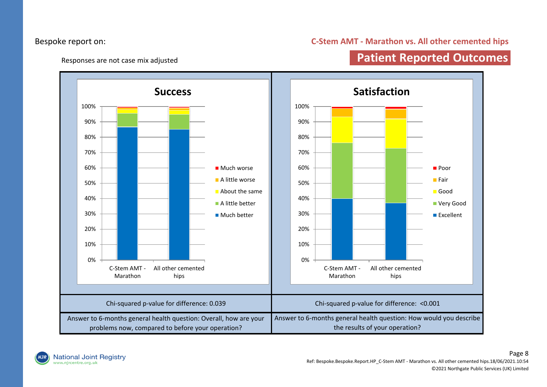#### Bespoke report on:

#### **C-Stem AMT - Marathon vs. All other cemented hips**

#### Responses are not case mix adjusted

## **Patient Reported Outcomes**



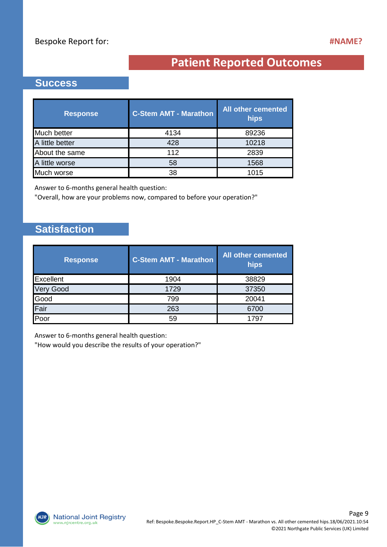# **Patient Reported Outcomes**

#### **Success**

| <b>Response</b> | <b>C-Stem AMT - Marathon</b> | <b>All other cemented</b><br>hips |
|-----------------|------------------------------|-----------------------------------|
| Much better     | 4134                         | 89236                             |
| A little better | 428                          | 10218                             |
| About the same  | 112                          | 2839                              |
| A little worse  | 58                           | 1568                              |
| Much worse      | 38                           | 1015                              |

Answer to 6-months general health question:

"Overall, how are your problems now, compared to before your operation?"

## **Satisfaction**

| <b>Response</b>  | <b>C-Stem AMT - Marathon</b> | All other cemented<br>hips |
|------------------|------------------------------|----------------------------|
| Excellent        | 1904                         | 38829                      |
| <b>Very Good</b> | 1729                         | 37350                      |
| Good             | 799                          | 20041                      |
| Fair             | 263                          | 6700                       |
| Poor             | 59                           | 1797                       |

Answer to 6-months general health question:

"How would you describe the results of your operation?"

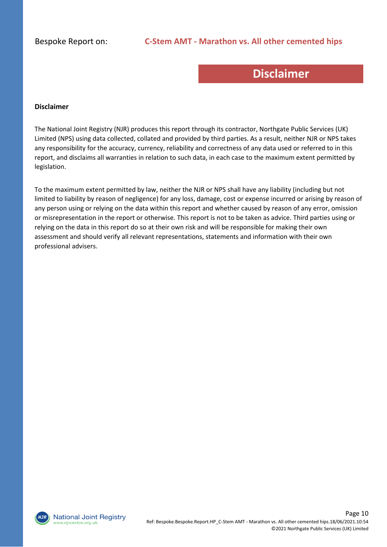## **Disclaimer**

#### **Disclaimer**

The National Joint Registry (NJR) produces this report through its contractor, Northgate Public Services (UK) Limited (NPS) using data collected, collated and provided by third parties. As a result, neither NJR or NPS takes any responsibility for the accuracy, currency, reliability and correctness of any data used or referred to in this report, and disclaims all warranties in relation to such data, in each case to the maximum extent permitted by legislation.

To the maximum extent permitted by law, neither the NJR or NPS shall have any liability (including but not limited to liability by reason of negligence) for any loss, damage, cost or expense incurred or arising by reason of any person using or relying on the data within this report and whether caused by reason of any error, omission or misrepresentation in the report or otherwise. This report is not to be taken as advice. Third parties using or relying on the data in this report do so at their own risk and will be responsible for making their own assessment and should verify all relevant representations, statements and information with their own professional advisers.

**National Joint Registry** vw.njrcentre.org.uk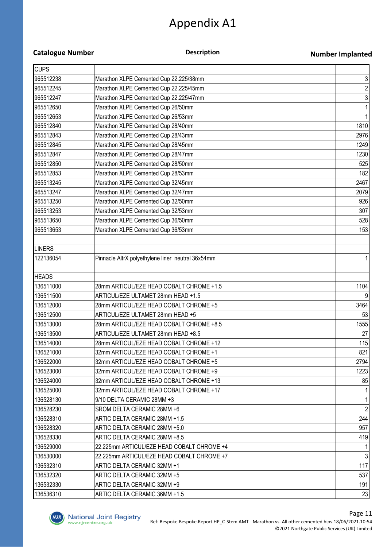# Appendix A1

#### **Catalogue Number**

#### **Description**

#### **Number Implanted**

| <b>CUPS</b>   |                                                   |                |
|---------------|---------------------------------------------------|----------------|
| 965512238     | Marathon XLPE Cemented Cup 22.225/38mm            | 3              |
| 965512245     | Marathon XLPE Cemented Cup 22.225/45mm            | $\overline{c}$ |
| 965512247     | Marathon XLPE Cemented Cup 22.225/47mm            | 3              |
| 965512650     | Marathon XLPE Cemented Cup 26/50mm                |                |
| 965512653     | Marathon XLPE Cemented Cup 26/53mm                |                |
| 965512840     | Marathon XLPE Cemented Cup 28/40mm                | 1810           |
| 965512843     | Marathon XLPE Cemented Cup 28/43mm                | 2976           |
| 965512845     | Marathon XLPE Cemented Cup 28/45mm                | 1249           |
| 965512847     | Marathon XLPE Cemented Cup 28/47mm                | 1230           |
| 965512850     | Marathon XLPE Cemented Cup 28/50mm                | 525            |
| 965512853     | Marathon XLPE Cemented Cup 28/53mm                | 182            |
| 965513245     | Marathon XLPE Cemented Cup 32/45mm                | 2467           |
| 965513247     | Marathon XLPE Cemented Cup 32/47mm                | 2079           |
| 965513250     | Marathon XLPE Cemented Cup 32/50mm                | 926            |
| 965513253     | Marathon XLPE Cemented Cup 32/53mm                | 307            |
| 965513650     | Marathon XLPE Cemented Cup 36/50mm                | 528            |
| 965513653     | Marathon XLPE Cemented Cup 36/53mm                | 153            |
|               |                                                   |                |
| <b>LINERS</b> |                                                   |                |
| 122136054     | Pinnacle AltrX polyethylene liner neutral 36x54mm |                |
|               |                                                   |                |
| <b>HEADS</b>  |                                                   |                |
| 136511000     | 28mm ARTICUL/EZE HEAD COBALT CHROME +1.5          | 1104           |
| 136511500     | ARTICUL/EZE ULTAMET 28mm HEAD +1.5                | 9              |
| 136512000     | 28mm ARTICUL/EZE HEAD COBALT CHROME +5            | 3464           |
| 136512500     | ARTICUL/EZE ULTAMET 28mm HEAD +5                  | 53             |
| 136513000     | 28mm ARTICUL/EZE HEAD COBALT CHROME +8.5          | 1555           |
| 136513500     | ARTICUL/EZE ULTAMET 28mm HEAD +8.5                | 27             |
| 136514000     | 28mm ARTICUL/EZE HEAD COBALT CHROME +12           | 115            |
| 136521000     | 32mm ARTICUL/EZE HEAD COBALT CHROME +1            | 821            |
| 136522000     | 32mm ARTICUL/EZE HEAD COBALT CHROME +5            | 2794           |
| 136523000     | 32mm ARTICUL/EZE HEAD COBALT CHROME +9            | 1223           |
| 136524000     | 32mm ARTICUL/EZE HEAD COBALT CHROME +13           | 85             |
| 136525000     | 32mm ARTICUL/EZE HEAD COBALT CHROME +17           |                |
| 136528130     | 9/10 DELTA CERAMIC 28MM +3                        |                |
| 136528230     | SROM DELTA CERAMIC 28MM +6                        | $\overline{2}$ |
| 136528310     | ARTIC DELTA CERAMIC 28MM +1.5                     | 244            |
| 136528320     | ARTIC DELTA CERAMIC 28MM +5.0                     | 957            |
| 136528330     | ARTIC DELTA CERAMIC 28MM +8.5                     | 419            |
| 136529000     | 22.225mm ARTICUL/EZE HEAD COBALT CHROME +4        |                |
| 136530000     | 22.225mm ARTICUL/EZE HEAD COBALT CHROME +7        | 3              |
| 136532310     | ARTIC DELTA CERAMIC 32MM +1                       | 117            |
| 136532320     | ARTIC DELTA CERAMIC 32MM +5                       | 537            |
| 136532330     | ARTIC DELTA CERAMIC 32MM +9                       | 191            |
| 136536310     | ARTIC DELTA CERAMIC 36MM +1.5                     | 23             |